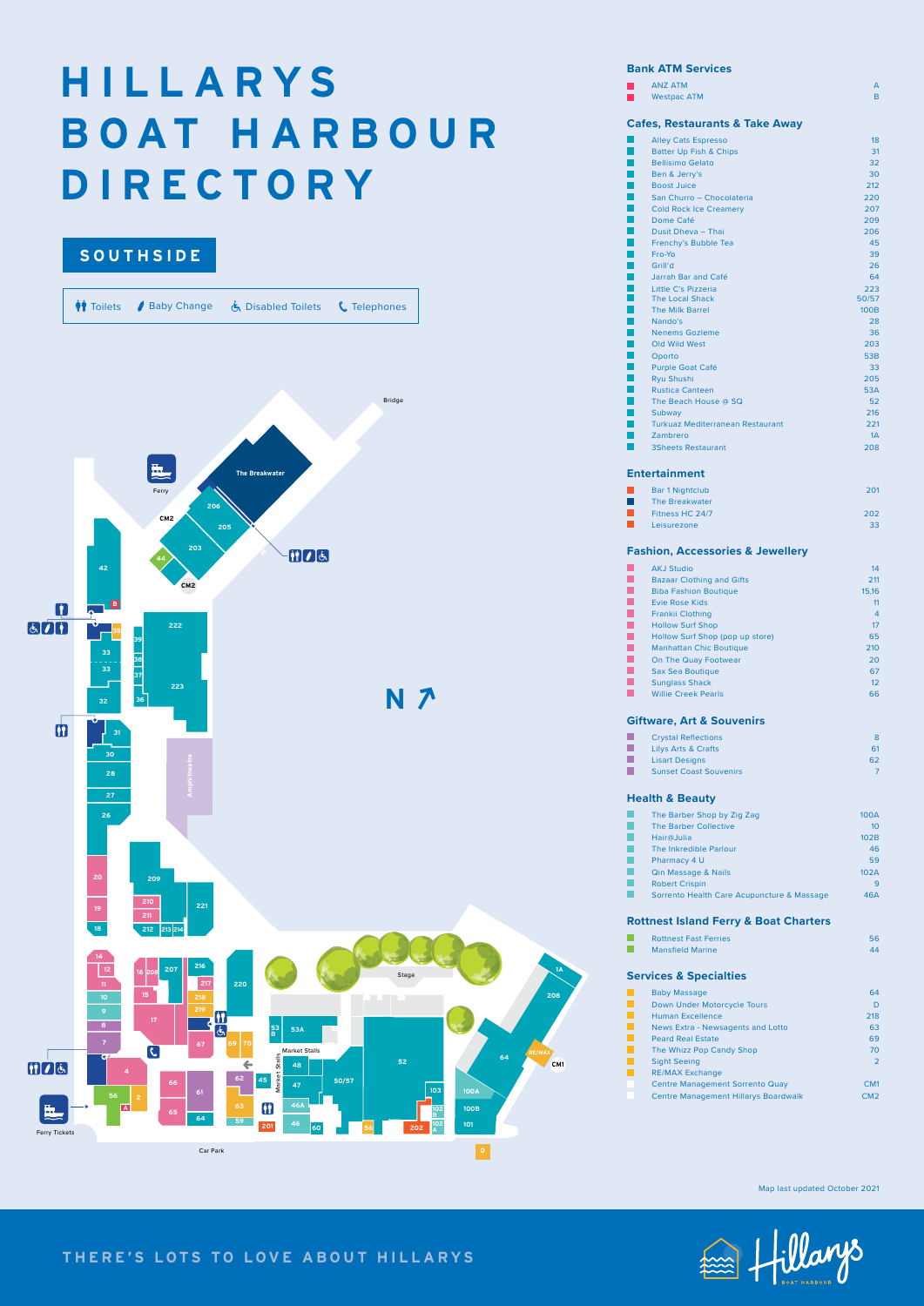# **H I L L A R Y S B O AT H A R B O U R DIRECTORY**

## **THERE'S LOTS TO LOVE ABOUT HILLARYS**



### **Bank ATM Services**

|                          | <b>ANZ ATM</b>                                        | А              |
|--------------------------|-------------------------------------------------------|----------------|
|                          | <b>Westpac ATM</b>                                    | B              |
|                          | <b>Cafes, Restaurants &amp; Take Away</b>             |                |
|                          | <b>Alley Cats Espresso</b>                            | 18             |
|                          | <b>Batter Up Fish &amp; Chips</b>                     | 31             |
| I.                       | <b>Bellisimo Gelato</b>                               | 32             |
| $\mathbb{R}^2$           | Ben & Jerry's                                         | 30             |
| П                        | <b>Boost Juice</b>                                    | 212            |
| F.                       | San Churro - Chocolateria                             | 220            |
| $\mathbb{R}^2$           | <b>Cold Rock Ice Creamery</b>                         | 207            |
| $\mathbb{R}^2$           | Dome Café                                             | 209            |
| I.                       | Dusit Dheva - Thai                                    | 206            |
|                          | Frenchy's Bubble Tea                                  | 45             |
| $\Box$<br>$\mathbb{R}^2$ | Fro-Yo<br>Grill'd                                     | 39             |
| $\Box$                   | Jarrah Bar and Café                                   | 26<br>64       |
|                          | Little C's Pizzeria                                   | 223            |
| Ē                        | <b>The Local Shack</b>                                | 50/57          |
|                          | <b>The Milk Barrel</b>                                | <b>100B</b>    |
| I.                       | Nando's                                               | 28             |
| I.                       | <b>Nenems Gozleme</b>                                 | 36             |
| П                        | Old Wild West                                         | 203            |
|                          | Oporto                                                | 53B            |
| Ξ                        | <b>Purple Goat Café</b>                               | 33             |
| $\overline{\phantom{a}}$ | <b>Ryu Shushi</b>                                     | 205            |
| П                        | <b>Rustica Canteen</b>                                | 53A            |
| Г                        | The Beach House @ SQ                                  | 52             |
| $\mathbb{R}^2$           | Subway                                                | 216            |
| П                        | <b>Turkuaz Mediterranean Restaurant</b>               | 221            |
|                          | <b>Zambrero</b>                                       | 1A             |
|                          | <b>3Sheets Restaurant</b>                             | 208            |
|                          | <b>Entertainment</b>                                  |                |
|                          | <b>Bar 1 Nightclub</b>                                | 201            |
| $\mathbb{R}^n$           | <b>The Breakwater</b>                                 |                |
| Г                        | Fitness HC 24/7                                       | 202            |
|                          | Leisurezone                                           | 33             |
|                          | <b>Fashion, Accessories &amp; Jewellery</b>           |                |
|                          |                                                       |                |
|                          | <b>AKJ Studio</b><br><b>Bazaar Clothing and Gifts</b> | 14<br>211      |
|                          | <b>Biba Fashion Boutique</b>                          | 15,16          |
|                          | <b>Evie Rose Kids</b>                                 | 11             |
| $\overline{\phantom{a}}$ | <b>Frankii Clothing</b>                               | 4              |
| Ľ                        | <b>Hollow Surf Shop</b>                               | 17             |
|                          | Hollow Surf Shop (pop up store)                       | 65             |
| E                        | <b>Manhattan Chic Boutique</b>                        | 210            |
| $\overline{\phantom{a}}$ | On The Quay Footwear                                  | 20             |
| $\Box$                   | <b>Sax Sea Boutique</b>                               | 67             |
| L.                       | <b>Sunglass Shack</b>                                 | 12             |
| П                        | <b>Willie Creek Pearls</b>                            | 66             |
|                          | <b>Giftware, Art &amp; Souvenirs</b>                  |                |
|                          | <b>Crystal Reflections</b>                            | 8              |
| h.                       | <b>Lilys Arts &amp; Crafts</b>                        | 61             |
| M                        | <b>Lisart Designs</b>                                 | 62             |
| L.                       | <b>Sunset Coast Souvenirs</b>                         | $\overline{7}$ |
|                          |                                                       |                |
|                          | <b>Health &amp; Beauty</b>                            |                |
|                          | The Barber Shop by Zig Zag                            | 100A           |
|                          | <b>The Barber Collective</b><br>Hair@Julia            | 10             |
|                          | The Inkredible Parlour                                | 102B<br>46     |
|                          | Pharmacy 4 U                                          | 59             |
|                          | Qin Massage & Nails                                   | 102A           |
|                          | <b>Robert Crispin</b>                                 | 9              |
|                          | Sorrento Health Care Acupuncture & Massage            | 46A            |
|                          |                                                       |                |
|                          | <b>Rottnest Island Ferry &amp; Boat Charters</b>      |                |

## **Services & Specialties**

|    | <b>Baby Massage</b>                         | 64             |
|----|---------------------------------------------|----------------|
|    | Down Under Motorcycle Tours                 | D              |
|    | Human Excellence                            | 218            |
|    | News Extra - Newsagents and Lotto           | 63             |
| n. | <b>Peard Real Estate</b>                    | 69             |
|    | The Whizz Pop Candy Shop                    | 70             |
|    | <b>Sight Seeing</b>                         | $\overline{2}$ |
|    | <b>RE/MAX Exchange</b>                      |                |
|    | <b>Centre Management Sorrento Quay</b>      | CM1            |
|    | <b>Centre Management Hillarys Boardwalk</b> | CM2            |

**Rottnest Fast Ferries** 56 **Mansfield Marine 44** and 2008 and 2008 and 2008 and 2008 and 2008 and 2008 and 2008 and 2008 and 2008 and 2008 and 2008 and 2008 and 2008 and 2008 and 2008 and 2008 and 2008 and 2008 and 2008 and 2008 and 2008 and 2008 an



Map last updated October 2021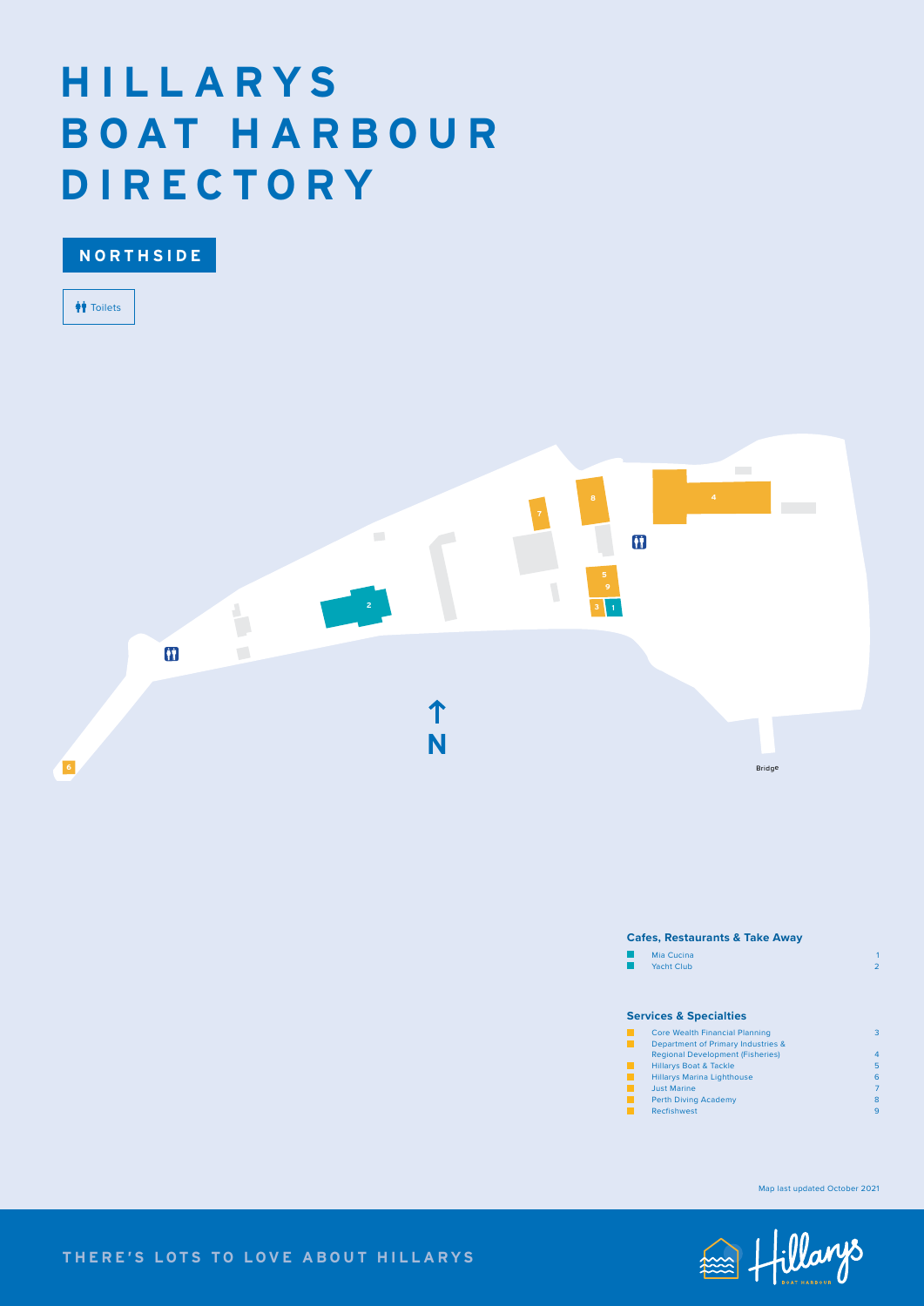## **THERE'S LOTS TO LOVE ABOUT HILLARYS**



| Mia Cucina        |  |
|-------------------|--|
| <b>Yacht Club</b> |  |

#### **Cafes, Restaurants & Take Away**

### **Services & Specialties**

| <b>Core Wealth Financial Planning</b>   | З              |
|-----------------------------------------|----------------|
| Department of Primary Industries &      |                |
| <b>Regional Development (Fisheries)</b> | $\overline{4}$ |
| <b>Hillarys Boat &amp; Tackle</b>       | 5              |
| <b>Hillarys Marina Lighthouse</b>       | 6              |
| <b>Just Marine</b>                      | 7              |
| <b>Perth Diving Academy</b>             | 8              |
| <b>Recfishwest</b>                      | 9              |

## **H I L L A R Y S B O AT H A R B O U R DIRECTORY**

**T**oilets

**NORTHSIDE**



Map last updated October 2021